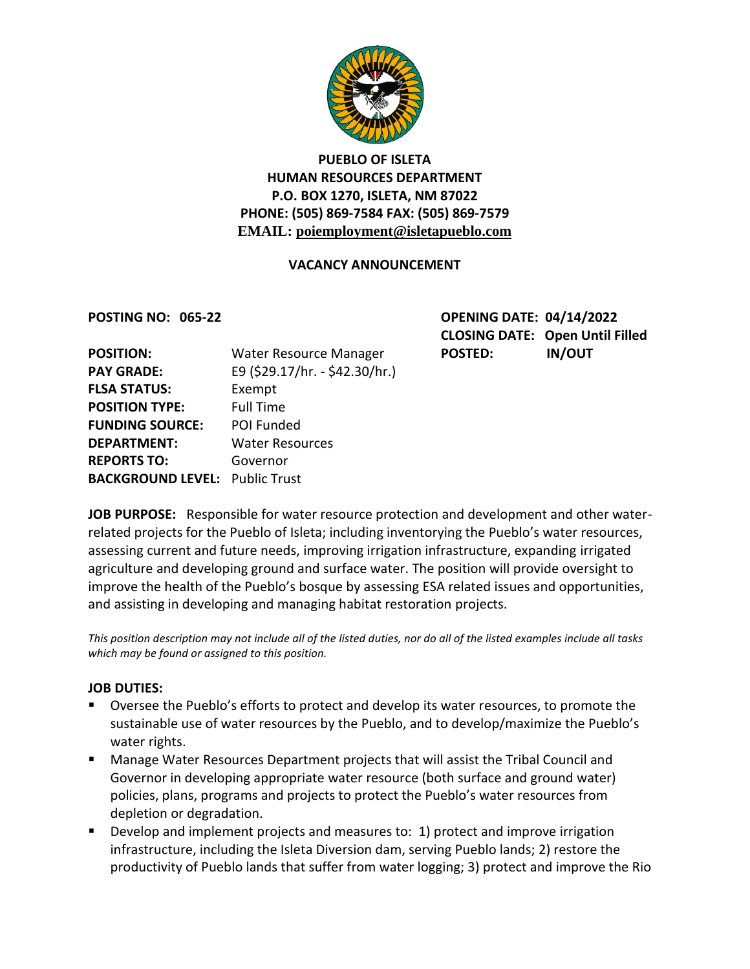

### **PUEBLO OF ISLETA HUMAN RESOURCES DEPARTMENT P.O. BOX 1270, ISLETA, NM 87022 PHONE: (505) 869-7584 FAX: (505) 869-7579 EMAIL: poiemployment@isletapueblo.com**

#### **VACANCY ANNOUNCEMENT**

**POSTING NO: 065-22** 

| <b>OPENING DATE: 04/14/2022</b> |                                        |
|---------------------------------|----------------------------------------|
|                                 | <b>CLOSING DATE: Open Until Filled</b> |
| <b>POSTED:</b>                  | <b>IN/OUT</b>                          |

| <b>POSITION:</b>                      | Water Resource Manager         | <b>POSTED:</b> | <b>IN/OUT</b> |
|---------------------------------------|--------------------------------|----------------|---------------|
| <b>PAY GRADE:</b>                     | E9 (\$29.17/hr. - \$42.30/hr.) |                |               |
| <b>FLSA STATUS:</b>                   | Exempt                         |                |               |
| <b>POSITION TYPE:</b>                 | <b>Full Time</b>               |                |               |
| <b>FUNDING SOURCE:</b>                | POI Funded                     |                |               |
| <b>DEPARTMENT:</b>                    | <b>Water Resources</b>         |                |               |
| <b>REPORTS TO:</b>                    | Governor                       |                |               |
| <b>BACKGROUND LEVEL: Public Trust</b> |                                |                |               |
|                                       |                                |                |               |

**JOB PURPOSE:** Responsible for water resource protection and development and other waterrelated projects for the Pueblo of Isleta; including inventorying the Pueblo's water resources, assessing current and future needs, improving irrigation infrastructure, expanding irrigated agriculture and developing ground and surface water. The position will provide oversight to improve the health of the Pueblo's bosque by assessing ESA related issues and opportunities, and assisting in developing and managing habitat restoration projects.

*This position description may not include all of the listed duties, nor do all of the listed examples include all tasks which may be found or assigned to this position.*

#### **JOB DUTIES:**

- **Diversee the Pueblo's efforts to protect and develop its water resources, to promote the** sustainable use of water resources by the Pueblo, and to develop/maximize the Pueblo's water rights.
- Manage Water Resources Department projects that will assist the Tribal Council and Governor in developing appropriate water resource (both surface and ground water) policies, plans, programs and projects to protect the Pueblo's water resources from depletion or degradation.
- **Develop and implement projects and measures to: 1) protect and improve irrigation** infrastructure, including the Isleta Diversion dam, serving Pueblo lands; 2) restore the productivity of Pueblo lands that suffer from water logging; 3) protect and improve the Rio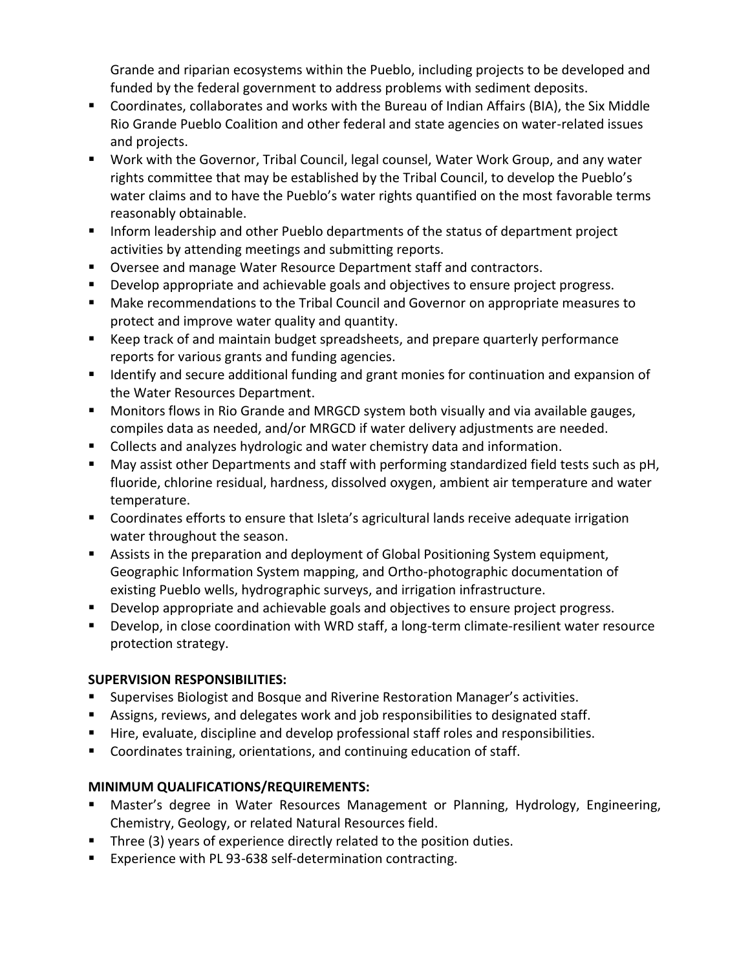Grande and riparian ecosystems within the Pueblo, including projects to be developed and funded by the federal government to address problems with sediment deposits.

- Coordinates, collaborates and works with the Bureau of Indian Affairs (BIA), the Six Middle Rio Grande Pueblo Coalition and other federal and state agencies on water-related issues and projects.
- Work with the Governor, Tribal Council, legal counsel, Water Work Group, and any water rights committee that may be established by the Tribal Council, to develop the Pueblo's water claims and to have the Pueblo's water rights quantified on the most favorable terms reasonably obtainable.
- **Inform leadership and other Pueblo departments of the status of department project** activities by attending meetings and submitting reports.
- **Diversee and manage Water Resource Department staff and contractors.**
- **Develop appropriate and achievable goals and objectives to ensure project progress.**
- Make recommendations to the Tribal Council and Governor on appropriate measures to protect and improve water quality and quantity.
- Keep track of and maintain budget spreadsheets, and prepare quarterly performance reports for various grants and funding agencies.
- **If all identify and secure additional funding and grant monies for continuation and expansion of** the Water Resources Department.
- Monitors flows in Rio Grande and MRGCD system both visually and via available gauges, compiles data as needed, and/or MRGCD if water delivery adjustments are needed.
- Collects and analyzes hydrologic and water chemistry data and information.
- **May assist other Departments and staff with performing standardized field tests such as pH,** fluoride, chlorine residual, hardness, dissolved oxygen, ambient air temperature and water temperature.
- Coordinates efforts to ensure that Isleta's agricultural lands receive adequate irrigation water throughout the season.
- Assists in the preparation and deployment of Global Positioning System equipment, Geographic Information System mapping, and Ortho-photographic documentation of existing Pueblo wells, hydrographic surveys, and irrigation infrastructure.
- **Develop appropriate and achievable goals and objectives to ensure project progress.**
- Develop, in close coordination with WRD staff, a long-term climate-resilient water resource protection strategy.

# **SUPERVISION RESPONSIBILITIES:**

- **Supervises Biologist and Bosque and Riverine Restoration Manager's activities.**
- Assigns, reviews, and delegates work and job responsibilities to designated staff.
- Hire, evaluate, discipline and develop professional staff roles and responsibilities.
- Coordinates training, orientations, and continuing education of staff.

# **MINIMUM QUALIFICATIONS/REQUIREMENTS:**

- Master's degree in Water Resources Management or Planning, Hydrology, Engineering, Chemistry, Geology, or related Natural Resources field.
- **Three (3) years of experience directly related to the position duties.**
- Experience with PL 93-638 self-determination contracting.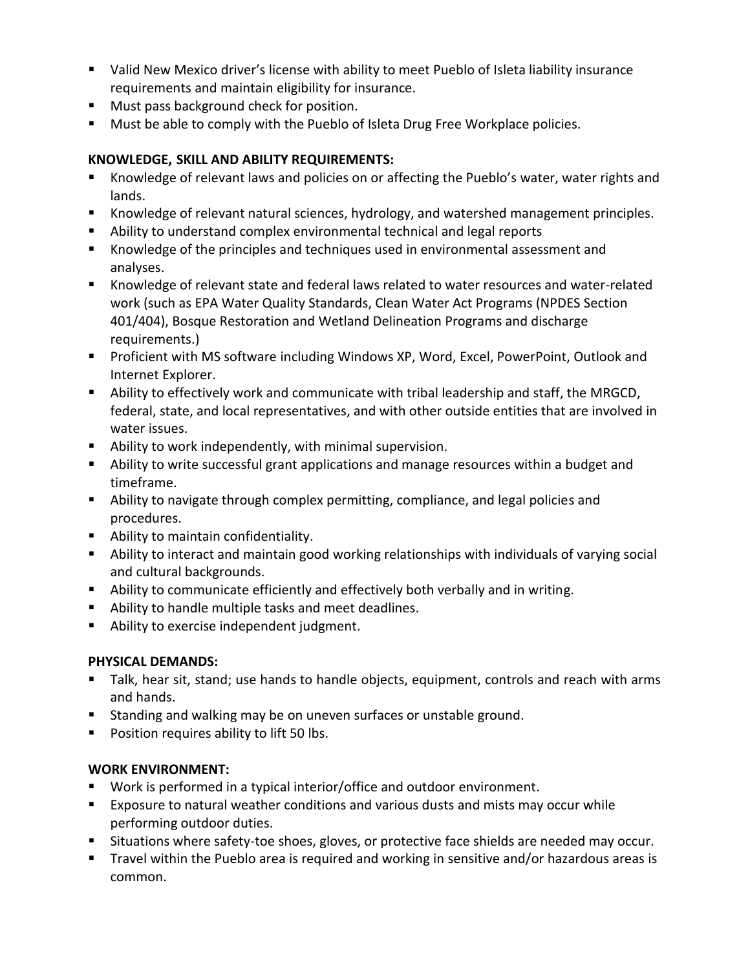- Valid New Mexico driver's license with ability to meet Pueblo of Isleta liability insurance requirements and maintain eligibility for insurance.
- **Must pass background check for position.**
- **Must be able to comply with the Pueblo of Isleta Drug Free Workplace policies.**

### **KNOWLEDGE, SKILL AND ABILITY REQUIREMENTS:**

- Knowledge of relevant laws and policies on or affecting the Pueblo's water, water rights and lands.
- Knowledge of relevant natural sciences, hydrology, and watershed management principles.
- Ability to understand complex environmental technical and legal reports
- Knowledge of the principles and techniques used in environmental assessment and analyses.
- Knowledge of relevant state and federal laws related to water resources and water-related work (such as EPA Water Quality Standards, Clean Water Act Programs (NPDES Section 401/404), Bosque Restoration and Wetland Delineation Programs and discharge requirements.)
- **Proficient with MS software including Windows XP, Word, Excel, PowerPoint, Outlook and** Internet Explorer.
- Ability to effectively work and communicate with tribal leadership and staff, the MRGCD, federal, state, and local representatives, and with other outside entities that are involved in water issues.
- Ability to work independently, with minimal supervision.
- Ability to write successful grant applications and manage resources within a budget and timeframe.
- Ability to navigate through complex permitting, compliance, and legal policies and procedures.
- Ability to maintain confidentiality.
- Ability to interact and maintain good working relationships with individuals of varying social and cultural backgrounds.
- Ability to communicate efficiently and effectively both verbally and in writing.
- Ability to handle multiple tasks and meet deadlines.
- **Ability to exercise independent judgment.**

### **PHYSICAL DEMANDS:**

- **Talk, hear sit, stand; use hands to handle objects, equipment, controls and reach with arms** and hands.
- **Standing and walking may be on uneven surfaces or unstable ground.**
- **Position requires ability to lift 50 lbs.**

### **WORK ENVIRONMENT:**

- Work is performed in a typical interior/office and outdoor environment.
- **Exposure to natural weather conditions and various dusts and mists may occur while** performing outdoor duties.
- **Situations where safety-toe shoes, gloves, or protective face shields are needed may occur.**
- Travel within the Pueblo area is required and working in sensitive and/or hazardous areas is common.